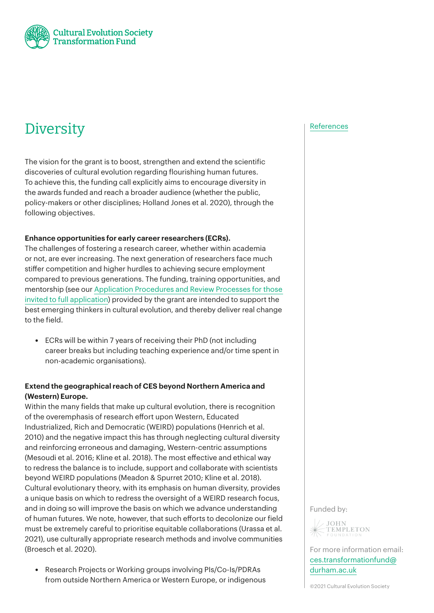

# Diversity [References](https://cesfund.wpengine.com/references/)

The vision for the grant is to boost, strengthen and extend the scientific discoveries of cultural evolution regarding flourishing human futures. To achieve this, the funding call explicitly aims to encourage diversity in the awards funded and reach a broader audience (whether the public, policy-makers or other disciplines; [Holland Jones et al. 2020\)](https://onlinelibrary.wiley.com/doi/full/10.1002/ajhb.23592?casa_token=Di0hFg5BZTQAAAAA%3AEGfTW9_8n4aFkvnzGxzijclLD3mgBgc7iPTSKVVpCL7pueamAsfsiAerBluiXcFW4Camk2PVBVSxqTI), through the following objectives.

#### **Enhance opportunities for early career researchers (ECRs).**

The challenges of fostering a research career, whether within academia or not, are ever increasing. The next generation of researchers face much stiffer competition and higher hurdles to achieving secure employment compared to previous generations. The funding, training opportunities, and mentorship (see our [Application Procedures and Review Processes for those](#page--1-0)  [invited to full application](#page--1-0)) provided by the grant are intended to support the best emerging thinkers in cultural evolution, and thereby deliver real change to the field.

• ECRs will be within 7 years of receiving their PhD (not including career breaks but including teaching experience and/or time spent in non-academic organisations).

# **Extend the geographical reach of CES beyond Northern America and (Western) Europe.**

Within the many fields that make up cultural evolution, there is recognition of the overemphasis of research effort upon Western, Educated Industrialized, Rich and Democratic (WEIRD) populations (Henrich et al. 2010) and the negative impact this has through neglecting cultural diversity and reinforcing erroneous and damaging, Western-centric assumptions (Mesoudi et al. 2016; Kline et al. 2018). The most effective and ethical way to redress the balance is to include, support and collaborate with scientists beyond WEIRD populations (Meadon & Spurret 2010; Kline et al. 2018). Cultural evolutionary theory, with its emphasis on human diversity, provides a unique basis on which to redress the oversight of a WEIRD research focus, and in doing so will improve the basis on which we advance understanding of human futures. We note, however, that such efforts to decolonize our field must be extremely careful to [prioritise equitable collaborations](https://www.nature.com/articles/s41562-021-01076-x) (Urassa et al. 2021), use [culturally appropriate research methods and involve communities](https://royalsocietypublishing.org/doi/10.1098/rspb.2020.1245) (Broesch et al. 2020).

• Research Projects or Working groups involving PIs/Co-Is/PDRAs from outside Northern America or Western Europe, or indigenous

Funded by:



For more information email: [ces.transformationfund@](mailto:ces.transformationfund%40durham.ac.uk?subject=) [durham.ac.uk](mailto:ces.transformationfund%40durham.ac.uk?subject=)

©2021 Cultural Evolution Society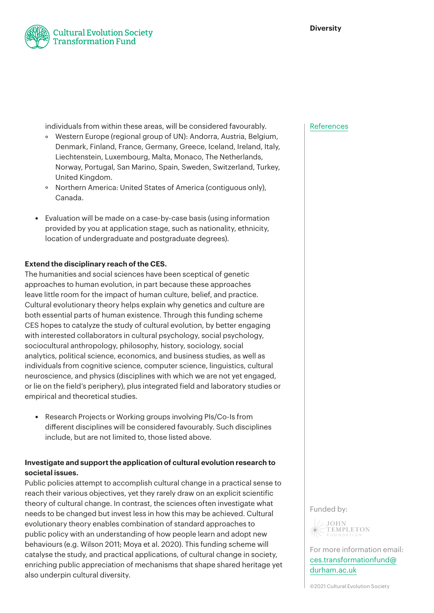

individuals from within these areas, will be considered favourably.

- ° Western Europe (regional group of UN): Andorra, Austria, Belgium, Denmark, Finland, France, Germany, Greece, Iceland, Ireland, Italy, Liechtenstein, Luxembourg, Malta, Monaco, The Netherlands, Norway, Portugal, San Marino, Spain, Sweden, Switzerland, Turkey, United Kingdom.
- ° Northern America: United States of America (contiguous only), Canada.
- Evaluation will be made on a case-by-case basis (using information provided by you at application stage, such as nationality, ethnicity, location of undergraduate and postgraduate degrees).

### **Extend the disciplinary reach of the CES.**

The humanities and social sciences have been sceptical of genetic approaches to human evolution, in part because these approaches leave little room for the impact of human culture, belief, and practice. Cultural evolutionary theory helps explain why genetics and culture are both essential parts of human existence. Through this funding scheme CES hopes to catalyze the study of cultural evolution, by better engaging with interested collaborators in cultural psychology, social psychology, sociocultural anthropology, philosophy, history, sociology, social analytics, political science, economics, and business studies, as well as individuals from cognitive science, computer science, linguistics, cultural neuroscience, and physics (disciplines with which we are not yet engaged, or lie on the field's periphery), plus integrated field and laboratory studies or empirical and theoretical studies.

• Research Projects or Working groups involving PIs/Co-Is from different disciplines will be considered favourably. Such disciplines include, but are not limited to, those listed above.

# **Investigate and support the application of cultural evolution research to societal issues.**

Public policies attempt to accomplish cultural change in a practical sense to reach their various objectives, yet they rarely draw on an explicit scientific theory of cultural change. In contrast, the sciences often investigate what needs to be changed but invest less in how this may be achieved. Cultural evolutionary theory enables combination of standard approaches to public policy with an understanding of how people learn and adopt new behaviours (e.g. Wilson 2011; Moya et al. 2020). This funding scheme will catalyse the study, and practical applications, of cultural change in society, enriching public appreciation of mechanisms that shape shared heritage yet also underpin cultural diversity.

#### [References](https://cesfund.wpengine.com/references/)

Funded by:



For more information email: [ces.transformationfund@](mailto:ces.transformationfund%40durham.ac.uk?subject=) [durham.ac.uk](mailto:ces.transformationfund%40durham.ac.uk?subject=)

©2021 Cultural Evolution Society